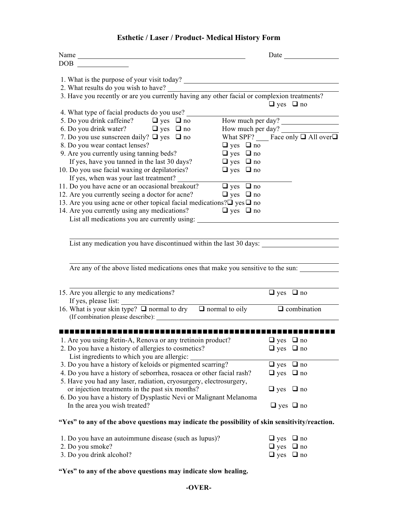## **Esthetic / Laser / Product- Medical History Form**

| Name                                                                                                                                      | Date                                       |  |  |
|-------------------------------------------------------------------------------------------------------------------------------------------|--------------------------------------------|--|--|
| <b>DOB</b>                                                                                                                                |                                            |  |  |
| 1. What is the purpose of your visit today?                                                                                               |                                            |  |  |
| 2. What results do you wish to have?                                                                                                      |                                            |  |  |
| 3. Have you recently or are you currently having any other facial or complexion treatments?                                               |                                            |  |  |
|                                                                                                                                           | $\Box$ yes $\Box$ no                       |  |  |
| 4. What type of facial products do you use?                                                                                               |                                            |  |  |
| 5. Do you drink caffeine? $\Box$ yes $\Box$ no                                                                                            | How much per day?                          |  |  |
| 6. Do you drink water? $\Box$ yes $\Box$ no                                                                                               | How much per day?                          |  |  |
| 7. Do you use sunscreen daily? $\Box$ yes $\Box$ no                                                                                       | What SPF? Face only $\Box$ All over $\Box$ |  |  |
| 8. Do you wear contact lenses?                                                                                                            | $\Box$ yes $\Box$ no                       |  |  |
| 9. Are you currently using tanning beds?                                                                                                  | $\Box$ yes $\Box$ no                       |  |  |
| If yes, have you tanned in the last 30 days?                                                                                              | $\Box$ yes $\Box$ no                       |  |  |
| 10. Do you use facial waxing or depilatories?                                                                                             | $\Box$ yes $\Box$ no                       |  |  |
| If yes, when was your last treatment?                                                                                                     |                                            |  |  |
| 11. Do you have acne or an occasional breakout?                                                                                           | $\Box$ yes $\Box$ no                       |  |  |
| 12. Are you currently seeing a doctor for acne?<br>13. Are you using acne or other topical facial medications? $\square$ yes $\square$ no | $\Box$ yes $\Box$ no                       |  |  |
| 14. Are you currently using any medications?                                                                                              | $\Box$ yes $\Box$ no                       |  |  |
| List all medications you are currently using:                                                                                             |                                            |  |  |
|                                                                                                                                           |                                            |  |  |
|                                                                                                                                           |                                            |  |  |
| List any medication you have discontinued within the last 30 days:                                                                        |                                            |  |  |
|                                                                                                                                           |                                            |  |  |
|                                                                                                                                           |                                            |  |  |
| Are any of the above listed medications ones that make you sensitive to the sun:                                                          |                                            |  |  |
|                                                                                                                                           |                                            |  |  |
| 15. Are you allergic to any medications?                                                                                                  | $\Box$ yes $\Box$ no                       |  |  |
| If yes, please list:                                                                                                                      |                                            |  |  |
| 16. What is your skin type? $\Box$ normal to dry $\Box$ normal to oily                                                                    | $\Box$ combination                         |  |  |
| (If combination please describe):                                                                                                         |                                            |  |  |
|                                                                                                                                           |                                            |  |  |
|                                                                                                                                           |                                            |  |  |
| 1. Are you using Retin-A, Renova or any tretinoin product?                                                                                | $\Box$ yes $\Box$ no                       |  |  |
| 2. Do you have a history of allergies to cosmetics?                                                                                       | $\Box$ yes $\Box$ no                       |  |  |
| List ingredients to which you are allergic:                                                                                               |                                            |  |  |
| 3. Do you have a history of keloids or pigmented scarring?                                                                                | $\Box$ yes<br>$\Box$ no                    |  |  |
| 4. Do you have a history of seborrhea, rosacea or other facial rash?                                                                      | $\Box$ yes<br>$\Box$ no                    |  |  |
| 5. Have you had any laser, radiation, cryosurgery, electrosurgery,                                                                        |                                            |  |  |
| or injection treatments in the past six months?                                                                                           | $\Box$ yes<br>$\Box$ no                    |  |  |
| 6. Do you have a history of Dysplastic Nevi or Malignant Melanoma                                                                         |                                            |  |  |
| In the area you wish treated?                                                                                                             | $\Box$ yes $\Box$ no                       |  |  |
|                                                                                                                                           |                                            |  |  |
| "Yes" to any of the above questions may indicate the possibility of skin sensitivity/reaction.                                            |                                            |  |  |
|                                                                                                                                           |                                            |  |  |

| 1. Do you have an autoimmune disease (such as lupus)? | $\Box$ yes $\Box$ no |  |
|-------------------------------------------------------|----------------------|--|
| 2. Do you smoke?                                      | $\Box$ yes $\Box$ no |  |
| 3. Do you drink alcohol?                              | $\Box$ yes $\Box$ no |  |

**"Yes" to any of the above questions may indicate slow healing.**